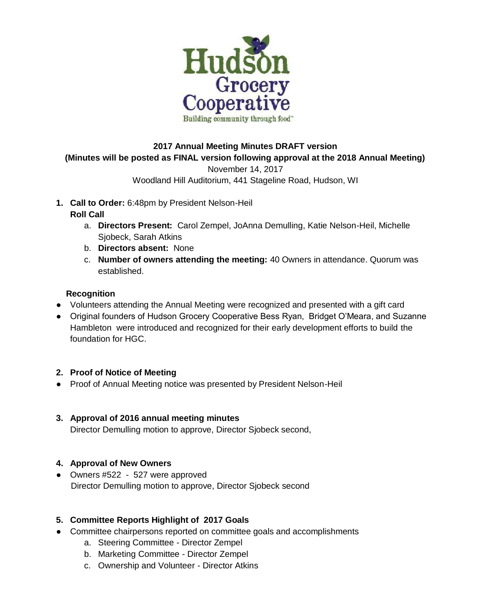

# **2017 Annual Meeting Minutes DRAFT version (Minutes will be posted as FINAL version following approval at the 2018 Annual Meeting)** November 14, 2017

## Woodland Hill Auditorium, 441 Stageline Road, Hudson, WI

**1. Call to Order:** 6:48pm by President Nelson-Heil

## **Roll Call**

- a. **Directors Present:** Carol Zempel, JoAnna Demulling, Katie Nelson-Heil, Michelle Sjobeck, Sarah Atkins
- b. **Directors absent:** None
- c. **Number of owners attending the meeting:** 40 Owners in attendance. Quorum was established.

## **Recognition**

- Volunteers attending the Annual Meeting were recognized and presented with a gift card
- Original founders of Hudson Grocery Cooperative Bess Ryan, Bridget O'Meara, and Suzanne Hambleton were introduced and recognized for their early development efforts to build the foundation for HGC.

#### **2. Proof of Notice of Meeting**

- Proof of Annual Meeting notice was presented by President Nelson-Heil
- **3. Approval of 2016 annual meeting minutes** Director Demulling motion to approve, Director Sjobeck second,

#### **4. Approval of New Owners**

● Owners #522 - 527 were approved Director Demulling motion to approve, Director Sjobeck second

## **5. Committee Reports Highlight of 2017 Goals**

- Committee chairpersons reported on committee goals and accomplishments
	- a. Steering Committee Director Zempel
	- b. Marketing Committee Director Zempel
	- c. Ownership and Volunteer Director Atkins